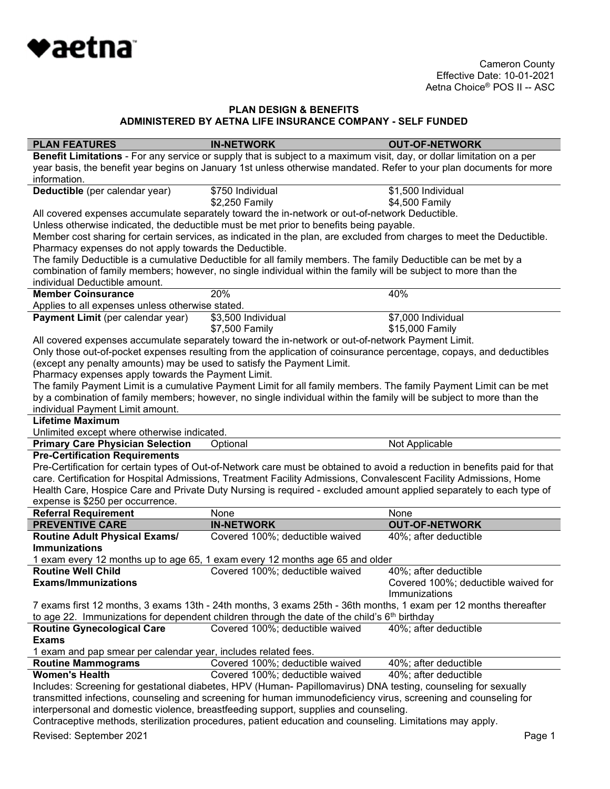

| <b>PLAN FEATURES</b>                                                   | <b>IN-NETWORK</b>                                                                                                      | <b>OUT-OF-NETWORK</b>                                                                                                      |
|------------------------------------------------------------------------|------------------------------------------------------------------------------------------------------------------------|----------------------------------------------------------------------------------------------------------------------------|
|                                                                        | Benefit Limitations - For any service or supply that is subject to a maximum visit, day, or dollar limitation on a per |                                                                                                                            |
|                                                                        | year basis, the benefit year begins on January 1st unless otherwise mandated. Refer to your plan documents for more    |                                                                                                                            |
| information.                                                           |                                                                                                                        |                                                                                                                            |
| Deductible (per calendar year)                                         | \$750 Individual                                                                                                       | \$1,500 Individual                                                                                                         |
|                                                                        | \$2,250 Family                                                                                                         | \$4,500 Family                                                                                                             |
|                                                                        | All covered expenses accumulate separately toward the in-network or out-of-network Deductible.                         |                                                                                                                            |
|                                                                        | Unless otherwise indicated, the deductible must be met prior to benefits being payable.                                |                                                                                                                            |
|                                                                        | Member cost sharing for certain services, as indicated in the plan, are excluded from charges to meet the Deductible.  |                                                                                                                            |
| Pharmacy expenses do not apply towards the Deductible.                 |                                                                                                                        |                                                                                                                            |
|                                                                        | The family Deductible is a cumulative Deductible for all family members. The family Deductible can be met by a         |                                                                                                                            |
|                                                                        | combination of family members; however, no single individual within the family will be subject to more than the        |                                                                                                                            |
| individual Deductible amount.                                          |                                                                                                                        |                                                                                                                            |
| <b>Member Coinsurance</b>                                              | 20%                                                                                                                    | 40%                                                                                                                        |
| Applies to all expenses unless otherwise stated.                       |                                                                                                                        |                                                                                                                            |
| Payment Limit (per calendar year)                                      | \$3,500 Individual                                                                                                     | \$7,000 Individual                                                                                                         |
|                                                                        | \$7,500 Family                                                                                                         | \$15,000 Family                                                                                                            |
|                                                                        | All covered expenses accumulate separately toward the in-network or out-of-network Payment Limit.                      |                                                                                                                            |
|                                                                        | Only those out-of-pocket expenses resulting from the application of coinsurance percentage, copays, and deductibles    |                                                                                                                            |
| (except any penalty amounts) may be used to satisfy the Payment Limit. |                                                                                                                        |                                                                                                                            |
| Pharmacy expenses apply towards the Payment Limit.                     |                                                                                                                        |                                                                                                                            |
|                                                                        | The family Payment Limit is a cumulative Payment Limit for all family members. The family Payment Limit can be met     |                                                                                                                            |
|                                                                        | by a combination of family members; however, no single individual within the family will be subject to more than the   |                                                                                                                            |
| individual Payment Limit amount.                                       |                                                                                                                        |                                                                                                                            |
| <b>Lifetime Maximum</b>                                                |                                                                                                                        |                                                                                                                            |
| Unlimited except where otherwise indicated.                            |                                                                                                                        |                                                                                                                            |
| <b>Primary Care Physician Selection</b>                                |                                                                                                                        |                                                                                                                            |
|                                                                        | Optional                                                                                                               | Not Applicable                                                                                                             |
| <b>Pre-Certification Requirements</b>                                  |                                                                                                                        |                                                                                                                            |
|                                                                        |                                                                                                                        | Pre-Certification for certain types of Out-of-Network care must be obtained to avoid a reduction in benefits paid for that |
|                                                                        | care. Certification for Hospital Admissions, Treatment Facility Admissions, Convalescent Facility Admissions, Home     |                                                                                                                            |
|                                                                        | Health Care, Hospice Care and Private Duty Nursing is required - excluded amount applied separately to each type of    |                                                                                                                            |
| expense is \$250 per occurrence.                                       |                                                                                                                        |                                                                                                                            |
| <b>Referral Requirement</b>                                            | None                                                                                                                   | None                                                                                                                       |
| <b>PREVENTIVE CARE</b>                                                 | <b>IN-NETWORK</b>                                                                                                      | <b>OUT-OF-NETWORK</b>                                                                                                      |
| <b>Routine Adult Physical Exams/</b>                                   | Covered 100%; deductible waived                                                                                        | 40%; after deductible                                                                                                      |
| <b>Immunizations</b>                                                   |                                                                                                                        |                                                                                                                            |
|                                                                        | 1 exam every 12 months up to age 65, 1 exam every 12 months age 65 and older                                           |                                                                                                                            |
| <b>Routine Well Child</b>                                              | Covered 100%; deductible waived                                                                                        | 40%; after deductible                                                                                                      |
| <b>Exams/Immunizations</b>                                             |                                                                                                                        | Covered 100%; deductible waived for                                                                                        |
|                                                                        |                                                                                                                        | Immunizations                                                                                                              |
|                                                                        | 7 exams first 12 months, 3 exams 13th - 24th months, 3 exams 25th - 36th months, 1 exam per 12 months thereafter       |                                                                                                                            |
|                                                                        | to age 22. Immunizations for dependent children through the date of the child's $6th$ birthday                         |                                                                                                                            |
| <b>Routine Gynecological Care</b>                                      | Covered 100%; deductible waived                                                                                        | 40%; after deductible                                                                                                      |
| <b>Exams</b>                                                           |                                                                                                                        |                                                                                                                            |
| 1 exam and pap smear per calendar year, includes related fees.         |                                                                                                                        |                                                                                                                            |
| <b>Routine Mammograms</b>                                              | Covered 100%; deductible waived                                                                                        | 40%; after deductible                                                                                                      |
| <b>Women's Health</b>                                                  | Covered 100%; deductible waived                                                                                        | 40%; after deductible                                                                                                      |
|                                                                        | Includes: Screening for gestational diabetes, HPV (Human- Papillomavirus) DNA testing, counseling for sexually         |                                                                                                                            |
|                                                                        | transmitted infections, counseling and screening for human immunodeficiency virus, screening and counseling for        |                                                                                                                            |
|                                                                        | interpersonal and domestic violence, breastfeeding support, supplies and counseling.                                   |                                                                                                                            |
|                                                                        | Contraceptive methods, sterilization procedures, patient education and counseling. Limitations may apply.              |                                                                                                                            |
| Revised: September 2021                                                |                                                                                                                        | Page 1                                                                                                                     |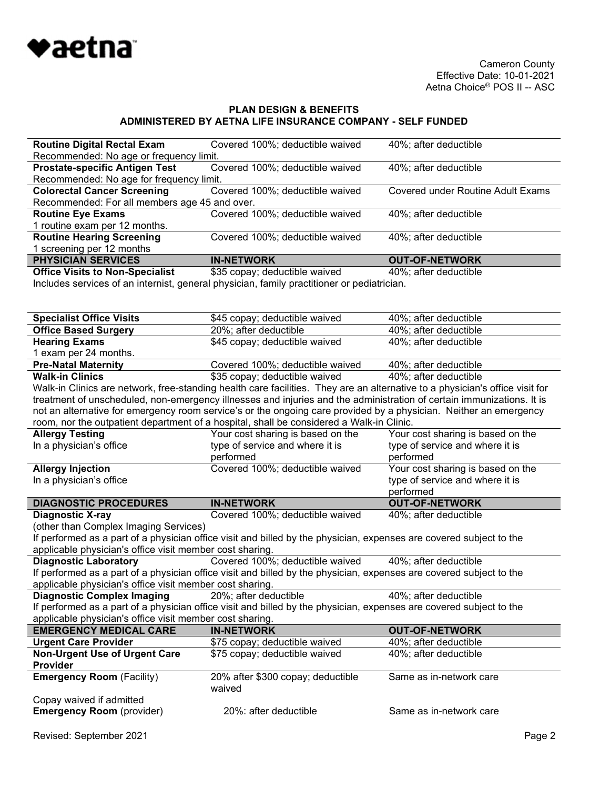

| <b>Routine Digital Rectal Exam</b>            | Covered 100%; deductible waived | 40%; after deductible             |
|-----------------------------------------------|---------------------------------|-----------------------------------|
| Recommended: No age or frequency limit.       |                                 |                                   |
| <b>Prostate-specific Antigen Test</b>         | Covered 100%; deductible waived | 40%; after deductible             |
| Recommended: No age for frequency limit.      |                                 |                                   |
| <b>Colorectal Cancer Screening</b>            | Covered 100%; deductible waived | Covered under Routine Adult Exams |
| Recommended: For all members age 45 and over. |                                 |                                   |
| <b>Routine Eye Exams</b>                      | Covered 100%; deductible waived | 40%; after deductible             |
| 1 routine exam per 12 months.                 |                                 |                                   |
| <b>Routine Hearing Screening</b>              | Covered 100%; deductible waived | 40%; after deductible             |
| 1 screening per 12 months                     |                                 |                                   |
| <b>PHYSICIAN SERVICES</b>                     | <b>IN-NETWORK</b>               | <b>OUT-OF-NETWORK</b>             |
| <b>Office Visits to Non-Specialist</b>        | \$35 copay; deductible waived   | 40%: after deductible             |

Includes services of an internist, general physician, family practitioner or pediatrician.

| 20%; after deductible<br>40%; after deductible<br><b>Office Based Surgery</b><br><b>Hearing Exams</b><br>\$45 copay; deductible waived<br>40%; after deductible<br>1 exam per 24 months.<br><b>Pre-Natal Maternity</b><br>Covered 100%; deductible waived<br>40%; after deductible<br><b>Walk-in Clinics</b><br>\$35 copay; deductible waived<br>40%; after deductible<br>Walk-in Clinics are network, free-standing health care facilities. They are an alternative to a physician's office visit for<br>treatment of unscheduled, non-emergency illnesses and injuries and the administration of certain immunizations. It is<br>not an alternative for emergency room service's or the ongoing care provided by a physician. Neither an emergency<br>room, nor the outpatient department of a hospital, shall be considered a Walk-in Clinic.<br>Your cost sharing is based on the<br><b>Allergy Testing</b><br>Your cost sharing is based on the<br>In a physician's office<br>type of service and where it is<br>type of service and where it is<br>performed<br>performed<br>Covered 100%; deductible waived<br>Your cost sharing is based on the<br><b>Allergy Injection</b><br>In a physician's office<br>type of service and where it is<br>performed<br><b>DIAGNOSTIC PROCEDURES</b><br><b>IN-NETWORK</b><br><b>OUT-OF-NETWORK</b><br><b>Diagnostic X-ray</b><br>Covered 100%; deductible waived<br>40%; after deductible<br>(other than Complex Imaging Services)<br>If performed as a part of a physician office visit and billed by the physician, expenses are covered subject to the<br>applicable physician's office visit member cost sharing.<br>Covered 100%; deductible waived<br>40%; after deductible<br><b>Diagnostic Laboratory</b><br>If performed as a part of a physician office visit and billed by the physician, expenses are covered subject to the<br>applicable physician's office visit member cost sharing.<br>40%; after deductible<br><b>Diagnostic Complex Imaging</b><br>20%; after deductible<br>If performed as a part of a physician office visit and billed by the physician, expenses are covered subject to the<br>applicable physician's office visit member cost sharing.<br><b>EMERGENCY MEDICAL CARE</b><br><b>OUT-OF-NETWORK</b><br><b>IN-NETWORK</b><br><b>Urgent Care Provider</b><br>\$75 copay; deductible waived<br>40%; after deductible<br><b>Non-Urgent Use of Urgent Care</b><br>40%; after deductible<br>\$75 copay; deductible waived<br><b>Provider</b><br><b>Emergency Room (Facility)</b><br>Same as in-network care<br>20% after \$300 copay; deductible<br>waived<br>Copay waived if admitted<br><b>Emergency Room (provider)</b><br>20%: after deductible<br>Same as in-network care | <b>Specialist Office Visits</b> | \$45 copay; deductible waived | 40%; after deductible |
|---------------------------------------------------------------------------------------------------------------------------------------------------------------------------------------------------------------------------------------------------------------------------------------------------------------------------------------------------------------------------------------------------------------------------------------------------------------------------------------------------------------------------------------------------------------------------------------------------------------------------------------------------------------------------------------------------------------------------------------------------------------------------------------------------------------------------------------------------------------------------------------------------------------------------------------------------------------------------------------------------------------------------------------------------------------------------------------------------------------------------------------------------------------------------------------------------------------------------------------------------------------------------------------------------------------------------------------------------------------------------------------------------------------------------------------------------------------------------------------------------------------------------------------------------------------------------------------------------------------------------------------------------------------------------------------------------------------------------------------------------------------------------------------------------------------------------------------------------------------------------------------------------------------------------------------------------------------------------------------------------------------------------------------------------------------------------------------------------------------------------------------------------------------------------------------------------------------------------------------------------------------------------------------------------------------------------------------------------------------------------------------------------------------------------------------------------------------------------------------------------------------------------------------------------------------------------------------------------------------------------------------------------------------------------------------------------------------------------------------------------------|---------------------------------|-------------------------------|-----------------------|
|                                                                                                                                                                                                                                                                                                                                                                                                                                                                                                                                                                                                                                                                                                                                                                                                                                                                                                                                                                                                                                                                                                                                                                                                                                                                                                                                                                                                                                                                                                                                                                                                                                                                                                                                                                                                                                                                                                                                                                                                                                                                                                                                                                                                                                                                                                                                                                                                                                                                                                                                                                                                                                                                                                                                                         |                                 |                               |                       |
|                                                                                                                                                                                                                                                                                                                                                                                                                                                                                                                                                                                                                                                                                                                                                                                                                                                                                                                                                                                                                                                                                                                                                                                                                                                                                                                                                                                                                                                                                                                                                                                                                                                                                                                                                                                                                                                                                                                                                                                                                                                                                                                                                                                                                                                                                                                                                                                                                                                                                                                                                                                                                                                                                                                                                         |                                 |                               |                       |
|                                                                                                                                                                                                                                                                                                                                                                                                                                                                                                                                                                                                                                                                                                                                                                                                                                                                                                                                                                                                                                                                                                                                                                                                                                                                                                                                                                                                                                                                                                                                                                                                                                                                                                                                                                                                                                                                                                                                                                                                                                                                                                                                                                                                                                                                                                                                                                                                                                                                                                                                                                                                                                                                                                                                                         |                                 |                               |                       |
|                                                                                                                                                                                                                                                                                                                                                                                                                                                                                                                                                                                                                                                                                                                                                                                                                                                                                                                                                                                                                                                                                                                                                                                                                                                                                                                                                                                                                                                                                                                                                                                                                                                                                                                                                                                                                                                                                                                                                                                                                                                                                                                                                                                                                                                                                                                                                                                                                                                                                                                                                                                                                                                                                                                                                         |                                 |                               |                       |
|                                                                                                                                                                                                                                                                                                                                                                                                                                                                                                                                                                                                                                                                                                                                                                                                                                                                                                                                                                                                                                                                                                                                                                                                                                                                                                                                                                                                                                                                                                                                                                                                                                                                                                                                                                                                                                                                                                                                                                                                                                                                                                                                                                                                                                                                                                                                                                                                                                                                                                                                                                                                                                                                                                                                                         |                                 |                               |                       |
|                                                                                                                                                                                                                                                                                                                                                                                                                                                                                                                                                                                                                                                                                                                                                                                                                                                                                                                                                                                                                                                                                                                                                                                                                                                                                                                                                                                                                                                                                                                                                                                                                                                                                                                                                                                                                                                                                                                                                                                                                                                                                                                                                                                                                                                                                                                                                                                                                                                                                                                                                                                                                                                                                                                                                         |                                 |                               |                       |
|                                                                                                                                                                                                                                                                                                                                                                                                                                                                                                                                                                                                                                                                                                                                                                                                                                                                                                                                                                                                                                                                                                                                                                                                                                                                                                                                                                                                                                                                                                                                                                                                                                                                                                                                                                                                                                                                                                                                                                                                                                                                                                                                                                                                                                                                                                                                                                                                                                                                                                                                                                                                                                                                                                                                                         |                                 |                               |                       |
|                                                                                                                                                                                                                                                                                                                                                                                                                                                                                                                                                                                                                                                                                                                                                                                                                                                                                                                                                                                                                                                                                                                                                                                                                                                                                                                                                                                                                                                                                                                                                                                                                                                                                                                                                                                                                                                                                                                                                                                                                                                                                                                                                                                                                                                                                                                                                                                                                                                                                                                                                                                                                                                                                                                                                         |                                 |                               |                       |
|                                                                                                                                                                                                                                                                                                                                                                                                                                                                                                                                                                                                                                                                                                                                                                                                                                                                                                                                                                                                                                                                                                                                                                                                                                                                                                                                                                                                                                                                                                                                                                                                                                                                                                                                                                                                                                                                                                                                                                                                                                                                                                                                                                                                                                                                                                                                                                                                                                                                                                                                                                                                                                                                                                                                                         |                                 |                               |                       |
|                                                                                                                                                                                                                                                                                                                                                                                                                                                                                                                                                                                                                                                                                                                                                                                                                                                                                                                                                                                                                                                                                                                                                                                                                                                                                                                                                                                                                                                                                                                                                                                                                                                                                                                                                                                                                                                                                                                                                                                                                                                                                                                                                                                                                                                                                                                                                                                                                                                                                                                                                                                                                                                                                                                                                         |                                 |                               |                       |
|                                                                                                                                                                                                                                                                                                                                                                                                                                                                                                                                                                                                                                                                                                                                                                                                                                                                                                                                                                                                                                                                                                                                                                                                                                                                                                                                                                                                                                                                                                                                                                                                                                                                                                                                                                                                                                                                                                                                                                                                                                                                                                                                                                                                                                                                                                                                                                                                                                                                                                                                                                                                                                                                                                                                                         |                                 |                               |                       |
|                                                                                                                                                                                                                                                                                                                                                                                                                                                                                                                                                                                                                                                                                                                                                                                                                                                                                                                                                                                                                                                                                                                                                                                                                                                                                                                                                                                                                                                                                                                                                                                                                                                                                                                                                                                                                                                                                                                                                                                                                                                                                                                                                                                                                                                                                                                                                                                                                                                                                                                                                                                                                                                                                                                                                         |                                 |                               |                       |
|                                                                                                                                                                                                                                                                                                                                                                                                                                                                                                                                                                                                                                                                                                                                                                                                                                                                                                                                                                                                                                                                                                                                                                                                                                                                                                                                                                                                                                                                                                                                                                                                                                                                                                                                                                                                                                                                                                                                                                                                                                                                                                                                                                                                                                                                                                                                                                                                                                                                                                                                                                                                                                                                                                                                                         |                                 |                               |                       |
|                                                                                                                                                                                                                                                                                                                                                                                                                                                                                                                                                                                                                                                                                                                                                                                                                                                                                                                                                                                                                                                                                                                                                                                                                                                                                                                                                                                                                                                                                                                                                                                                                                                                                                                                                                                                                                                                                                                                                                                                                                                                                                                                                                                                                                                                                                                                                                                                                                                                                                                                                                                                                                                                                                                                                         |                                 |                               |                       |
|                                                                                                                                                                                                                                                                                                                                                                                                                                                                                                                                                                                                                                                                                                                                                                                                                                                                                                                                                                                                                                                                                                                                                                                                                                                                                                                                                                                                                                                                                                                                                                                                                                                                                                                                                                                                                                                                                                                                                                                                                                                                                                                                                                                                                                                                                                                                                                                                                                                                                                                                                                                                                                                                                                                                                         |                                 |                               |                       |
|                                                                                                                                                                                                                                                                                                                                                                                                                                                                                                                                                                                                                                                                                                                                                                                                                                                                                                                                                                                                                                                                                                                                                                                                                                                                                                                                                                                                                                                                                                                                                                                                                                                                                                                                                                                                                                                                                                                                                                                                                                                                                                                                                                                                                                                                                                                                                                                                                                                                                                                                                                                                                                                                                                                                                         |                                 |                               |                       |
|                                                                                                                                                                                                                                                                                                                                                                                                                                                                                                                                                                                                                                                                                                                                                                                                                                                                                                                                                                                                                                                                                                                                                                                                                                                                                                                                                                                                                                                                                                                                                                                                                                                                                                                                                                                                                                                                                                                                                                                                                                                                                                                                                                                                                                                                                                                                                                                                                                                                                                                                                                                                                                                                                                                                                         |                                 |                               |                       |
|                                                                                                                                                                                                                                                                                                                                                                                                                                                                                                                                                                                                                                                                                                                                                                                                                                                                                                                                                                                                                                                                                                                                                                                                                                                                                                                                                                                                                                                                                                                                                                                                                                                                                                                                                                                                                                                                                                                                                                                                                                                                                                                                                                                                                                                                                                                                                                                                                                                                                                                                                                                                                                                                                                                                                         |                                 |                               |                       |
|                                                                                                                                                                                                                                                                                                                                                                                                                                                                                                                                                                                                                                                                                                                                                                                                                                                                                                                                                                                                                                                                                                                                                                                                                                                                                                                                                                                                                                                                                                                                                                                                                                                                                                                                                                                                                                                                                                                                                                                                                                                                                                                                                                                                                                                                                                                                                                                                                                                                                                                                                                                                                                                                                                                                                         |                                 |                               |                       |
|                                                                                                                                                                                                                                                                                                                                                                                                                                                                                                                                                                                                                                                                                                                                                                                                                                                                                                                                                                                                                                                                                                                                                                                                                                                                                                                                                                                                                                                                                                                                                                                                                                                                                                                                                                                                                                                                                                                                                                                                                                                                                                                                                                                                                                                                                                                                                                                                                                                                                                                                                                                                                                                                                                                                                         |                                 |                               |                       |
|                                                                                                                                                                                                                                                                                                                                                                                                                                                                                                                                                                                                                                                                                                                                                                                                                                                                                                                                                                                                                                                                                                                                                                                                                                                                                                                                                                                                                                                                                                                                                                                                                                                                                                                                                                                                                                                                                                                                                                                                                                                                                                                                                                                                                                                                                                                                                                                                                                                                                                                                                                                                                                                                                                                                                         |                                 |                               |                       |
|                                                                                                                                                                                                                                                                                                                                                                                                                                                                                                                                                                                                                                                                                                                                                                                                                                                                                                                                                                                                                                                                                                                                                                                                                                                                                                                                                                                                                                                                                                                                                                                                                                                                                                                                                                                                                                                                                                                                                                                                                                                                                                                                                                                                                                                                                                                                                                                                                                                                                                                                                                                                                                                                                                                                                         |                                 |                               |                       |
|                                                                                                                                                                                                                                                                                                                                                                                                                                                                                                                                                                                                                                                                                                                                                                                                                                                                                                                                                                                                                                                                                                                                                                                                                                                                                                                                                                                                                                                                                                                                                                                                                                                                                                                                                                                                                                                                                                                                                                                                                                                                                                                                                                                                                                                                                                                                                                                                                                                                                                                                                                                                                                                                                                                                                         |                                 |                               |                       |
|                                                                                                                                                                                                                                                                                                                                                                                                                                                                                                                                                                                                                                                                                                                                                                                                                                                                                                                                                                                                                                                                                                                                                                                                                                                                                                                                                                                                                                                                                                                                                                                                                                                                                                                                                                                                                                                                                                                                                                                                                                                                                                                                                                                                                                                                                                                                                                                                                                                                                                                                                                                                                                                                                                                                                         |                                 |                               |                       |
|                                                                                                                                                                                                                                                                                                                                                                                                                                                                                                                                                                                                                                                                                                                                                                                                                                                                                                                                                                                                                                                                                                                                                                                                                                                                                                                                                                                                                                                                                                                                                                                                                                                                                                                                                                                                                                                                                                                                                                                                                                                                                                                                                                                                                                                                                                                                                                                                                                                                                                                                                                                                                                                                                                                                                         |                                 |                               |                       |
|                                                                                                                                                                                                                                                                                                                                                                                                                                                                                                                                                                                                                                                                                                                                                                                                                                                                                                                                                                                                                                                                                                                                                                                                                                                                                                                                                                                                                                                                                                                                                                                                                                                                                                                                                                                                                                                                                                                                                                                                                                                                                                                                                                                                                                                                                                                                                                                                                                                                                                                                                                                                                                                                                                                                                         |                                 |                               |                       |
|                                                                                                                                                                                                                                                                                                                                                                                                                                                                                                                                                                                                                                                                                                                                                                                                                                                                                                                                                                                                                                                                                                                                                                                                                                                                                                                                                                                                                                                                                                                                                                                                                                                                                                                                                                                                                                                                                                                                                                                                                                                                                                                                                                                                                                                                                                                                                                                                                                                                                                                                                                                                                                                                                                                                                         |                                 |                               |                       |
|                                                                                                                                                                                                                                                                                                                                                                                                                                                                                                                                                                                                                                                                                                                                                                                                                                                                                                                                                                                                                                                                                                                                                                                                                                                                                                                                                                                                                                                                                                                                                                                                                                                                                                                                                                                                                                                                                                                                                                                                                                                                                                                                                                                                                                                                                                                                                                                                                                                                                                                                                                                                                                                                                                                                                         |                                 |                               |                       |
|                                                                                                                                                                                                                                                                                                                                                                                                                                                                                                                                                                                                                                                                                                                                                                                                                                                                                                                                                                                                                                                                                                                                                                                                                                                                                                                                                                                                                                                                                                                                                                                                                                                                                                                                                                                                                                                                                                                                                                                                                                                                                                                                                                                                                                                                                                                                                                                                                                                                                                                                                                                                                                                                                                                                                         |                                 |                               |                       |
|                                                                                                                                                                                                                                                                                                                                                                                                                                                                                                                                                                                                                                                                                                                                                                                                                                                                                                                                                                                                                                                                                                                                                                                                                                                                                                                                                                                                                                                                                                                                                                                                                                                                                                                                                                                                                                                                                                                                                                                                                                                                                                                                                                                                                                                                                                                                                                                                                                                                                                                                                                                                                                                                                                                                                         |                                 |                               |                       |
|                                                                                                                                                                                                                                                                                                                                                                                                                                                                                                                                                                                                                                                                                                                                                                                                                                                                                                                                                                                                                                                                                                                                                                                                                                                                                                                                                                                                                                                                                                                                                                                                                                                                                                                                                                                                                                                                                                                                                                                                                                                                                                                                                                                                                                                                                                                                                                                                                                                                                                                                                                                                                                                                                                                                                         |                                 |                               |                       |
|                                                                                                                                                                                                                                                                                                                                                                                                                                                                                                                                                                                                                                                                                                                                                                                                                                                                                                                                                                                                                                                                                                                                                                                                                                                                                                                                                                                                                                                                                                                                                                                                                                                                                                                                                                                                                                                                                                                                                                                                                                                                                                                                                                                                                                                                                                                                                                                                                                                                                                                                                                                                                                                                                                                                                         |                                 |                               |                       |
|                                                                                                                                                                                                                                                                                                                                                                                                                                                                                                                                                                                                                                                                                                                                                                                                                                                                                                                                                                                                                                                                                                                                                                                                                                                                                                                                                                                                                                                                                                                                                                                                                                                                                                                                                                                                                                                                                                                                                                                                                                                                                                                                                                                                                                                                                                                                                                                                                                                                                                                                                                                                                                                                                                                                                         |                                 |                               |                       |
|                                                                                                                                                                                                                                                                                                                                                                                                                                                                                                                                                                                                                                                                                                                                                                                                                                                                                                                                                                                                                                                                                                                                                                                                                                                                                                                                                                                                                                                                                                                                                                                                                                                                                                                                                                                                                                                                                                                                                                                                                                                                                                                                                                                                                                                                                                                                                                                                                                                                                                                                                                                                                                                                                                                                                         |                                 |                               |                       |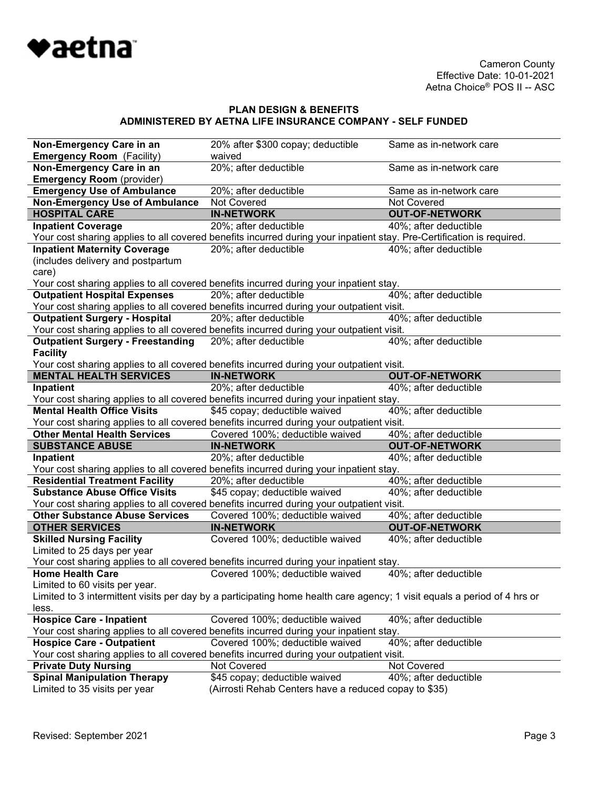

| Non-Emergency Care in an                 | 20% after \$300 copay; deductible                                                                                        | Same as in-network care |
|------------------------------------------|--------------------------------------------------------------------------------------------------------------------------|-------------------------|
| <b>Emergency Room</b> (Facility)         | waived                                                                                                                   |                         |
| Non-Emergency Care in an                 | 20%; after deductible                                                                                                    | Same as in-network care |
| <b>Emergency Room</b> (provider)         |                                                                                                                          |                         |
| <b>Emergency Use of Ambulance</b>        | 20%; after deductible                                                                                                    | Same as in-network care |
| <b>Non-Emergency Use of Ambulance</b>    | Not Covered                                                                                                              | Not Covered             |
| <b>HOSPITAL CARE</b>                     | <b>IN-NETWORK</b>                                                                                                        | <b>OUT-OF-NETWORK</b>   |
| <b>Inpatient Coverage</b>                | 20%; after deductible                                                                                                    | 40%; after deductible   |
|                                          | Your cost sharing applies to all covered benefits incurred during your inpatient stay. Pre-Certification is required.    |                         |
| <b>Inpatient Maternity Coverage</b>      | 20%; after deductible                                                                                                    | 40%; after deductible   |
| (includes delivery and postpartum        |                                                                                                                          |                         |
| care)                                    |                                                                                                                          |                         |
|                                          | Your cost sharing applies to all covered benefits incurred during your inpatient stay.                                   |                         |
| <b>Outpatient Hospital Expenses</b>      | 20%; after deductible                                                                                                    | 40%; after deductible   |
|                                          | Your cost sharing applies to all covered benefits incurred during your outpatient visit.                                 |                         |
| <b>Outpatient Surgery - Hospital</b>     | 20%; after deductible                                                                                                    | 40%; after deductible   |
|                                          | Your cost sharing applies to all covered benefits incurred during your outpatient visit.                                 |                         |
| <b>Outpatient Surgery - Freestanding</b> | 20%; after deductible                                                                                                    | 40%; after deductible   |
| <b>Facility</b>                          |                                                                                                                          |                         |
|                                          | Your cost sharing applies to all covered benefits incurred during your outpatient visit.                                 |                         |
| <b>MENTAL HEALTH SERVICES</b>            | <b>IN-NETWORK</b>                                                                                                        | <b>OUT-OF-NETWORK</b>   |
| Inpatient                                | 20%; after deductible                                                                                                    | 40%; after deductible   |
|                                          | Your cost sharing applies to all covered benefits incurred during your inpatient stay.                                   |                         |
| <b>Mental Health Office Visits</b>       | \$45 copay; deductible waived                                                                                            | 40%; after deductible   |
|                                          | Your cost sharing applies to all covered benefits incurred during your outpatient visit.                                 |                         |
| <b>Other Mental Health Services</b>      | Covered 100%; deductible waived                                                                                          | 40%; after deductible   |
| <b>SUBSTANCE ABUSE</b>                   | <b>IN-NETWORK</b>                                                                                                        | <b>OUT-OF-NETWORK</b>   |
| Inpatient                                | 20%; after deductible                                                                                                    | 40%; after deductible   |
|                                          | Your cost sharing applies to all covered benefits incurred during your inpatient stay.                                   |                         |
| <b>Residential Treatment Facility</b>    | 20%; after deductible                                                                                                    | 40%; after deductible   |
| <b>Substance Abuse Office Visits</b>     | \$45 copay; deductible waived                                                                                            | 40%; after deductible   |
|                                          | Your cost sharing applies to all covered benefits incurred during your outpatient visit.                                 |                         |
| <b>Other Substance Abuse Services</b>    | Covered 100%; deductible waived                                                                                          | 40%; after deductible   |
| <b>OTHER SERVICES</b>                    | <b>IN-NETWORK</b>                                                                                                        | <b>OUT-OF-NETWORK</b>   |
| <b>Skilled Nursing Facility</b>          | Covered 100%; deductible waived                                                                                          | 40%; after deductible   |
| Limited to 25 days per year              |                                                                                                                          |                         |
|                                          | Your cost sharing applies to all covered benefits incurred during your inpatient stay.                                   |                         |
| <b>Home Health Care</b>                  | Covered 100%; deductible waived                                                                                          | 40%; after deductible   |
| Limited to 60 visits per year.           |                                                                                                                          |                         |
|                                          | Limited to 3 intermittent visits per day by a participating home health care agency; 1 visit equals a period of 4 hrs or |                         |
| less.                                    |                                                                                                                          |                         |
| <b>Hospice Care - Inpatient</b>          | Covered 100%; deductible waived                                                                                          | 40%; after deductible   |
|                                          | Your cost sharing applies to all covered benefits incurred during your inpatient stay.                                   |                         |
| <b>Hospice Care - Outpatient</b>         | Covered 100%; deductible waived                                                                                          | 40%; after deductible   |
|                                          | Your cost sharing applies to all covered benefits incurred during your outpatient visit.                                 |                         |
| <b>Private Duty Nursing</b>              | Not Covered                                                                                                              | Not Covered             |
| <b>Spinal Manipulation Therapy</b>       | \$45 copay; deductible waived                                                                                            | 40%; after deductible   |
| Limited to 35 visits per year            | (Airrosti Rehab Centers have a reduced copay to \$35)                                                                    |                         |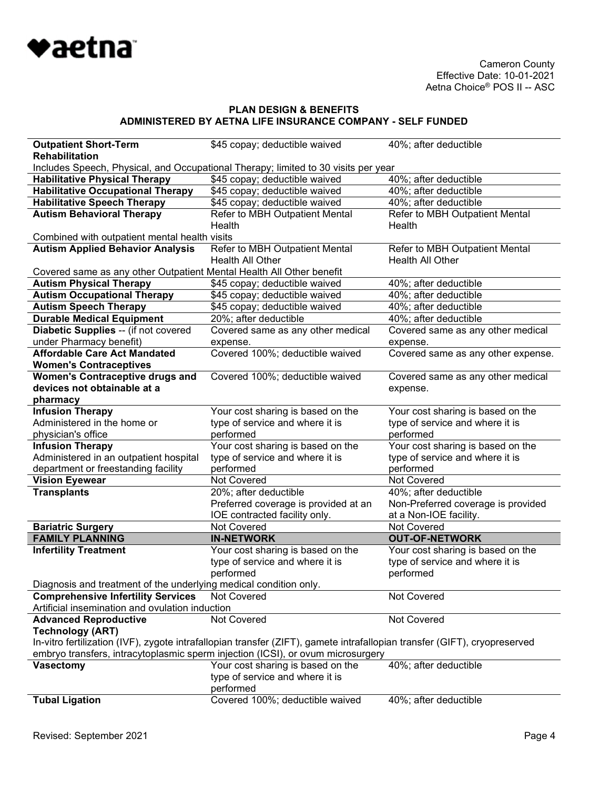

| <b>Outpatient Short-Term</b>                                                       | \$45 copay; deductible waived                                                                                             | 40%; after deductible              |  |
|------------------------------------------------------------------------------------|---------------------------------------------------------------------------------------------------------------------------|------------------------------------|--|
| <b>Rehabilitation</b>                                                              |                                                                                                                           |                                    |  |
| Includes Speech, Physical, and Occupational Therapy; limited to 30 visits per year |                                                                                                                           |                                    |  |
| <b>Habilitative Physical Therapy</b>                                               | \$45 copay; deductible waived                                                                                             | 40%; after deductible              |  |
| <b>Habilitative Occupational Therapy</b>                                           | \$45 copay; deductible waived                                                                                             | 40%; after deductible              |  |
| <b>Habilitative Speech Therapy</b>                                                 | \$45 copay; deductible waived                                                                                             | 40%; after deductible              |  |
| <b>Autism Behavioral Therapy</b>                                                   | Refer to MBH Outpatient Mental                                                                                            | Refer to MBH Outpatient Mental     |  |
|                                                                                    | Health                                                                                                                    | Health                             |  |
| Combined with outpatient mental health visits                                      |                                                                                                                           |                                    |  |
| <b>Autism Applied Behavior Analysis</b>                                            | Refer to MBH Outpatient Mental                                                                                            | Refer to MBH Outpatient Mental     |  |
|                                                                                    | Health All Other                                                                                                          | Health All Other                   |  |
| Covered same as any other Outpatient Mental Health All Other benefit               |                                                                                                                           |                                    |  |
| <b>Autism Physical Therapy</b>                                                     | \$45 copay; deductible waived                                                                                             | 40%; after deductible              |  |
| <b>Autism Occupational Therapy</b>                                                 | \$45 copay; deductible waived                                                                                             | 40%; after deductible              |  |
| <b>Autism Speech Therapy</b>                                                       | \$45 copay; deductible waived                                                                                             | 40%; after deductible              |  |
| <b>Durable Medical Equipment</b>                                                   | 20%; after deductible                                                                                                     | 40%; after deductible              |  |
| Diabetic Supplies -- (if not covered                                               | Covered same as any other medical                                                                                         | Covered same as any other medical  |  |
| under Pharmacy benefit)                                                            | expense.                                                                                                                  | expense.                           |  |
| <b>Affordable Care Act Mandated</b>                                                | Covered 100%; deductible waived                                                                                           | Covered same as any other expense. |  |
| <b>Women's Contraceptives</b>                                                      |                                                                                                                           |                                    |  |
| <b>Women's Contraceptive drugs and</b>                                             | Covered 100%; deductible waived                                                                                           | Covered same as any other medical  |  |
| devices not obtainable at a                                                        |                                                                                                                           | expense.                           |  |
| pharmacy                                                                           |                                                                                                                           |                                    |  |
| <b>Infusion Therapy</b>                                                            | Your cost sharing is based on the                                                                                         | Your cost sharing is based on the  |  |
| Administered in the home or                                                        | type of service and where it is                                                                                           | type of service and where it is    |  |
| physician's office                                                                 | performed                                                                                                                 | performed                          |  |
| <b>Infusion Therapy</b>                                                            | Your cost sharing is based on the                                                                                         | Your cost sharing is based on the  |  |
| Administered in an outpatient hospital                                             | type of service and where it is                                                                                           | type of service and where it is    |  |
| department or freestanding facility                                                | performed<br><b>Not Covered</b>                                                                                           | performed<br><b>Not Covered</b>    |  |
| <b>Vision Eyewear</b><br><b>Transplants</b>                                        | 20%; after deductible                                                                                                     | 40%; after deductible              |  |
|                                                                                    | Preferred coverage is provided at an                                                                                      | Non-Preferred coverage is provided |  |
|                                                                                    | IOE contracted facility only.                                                                                             | at a Non-IOE facility.             |  |
| <b>Bariatric Surgery</b>                                                           | <b>Not Covered</b>                                                                                                        | Not Covered                        |  |
| <b>FAMILY PLANNING</b>                                                             | <b>IN-NETWORK</b>                                                                                                         | <b>OUT-OF-NETWORK</b>              |  |
| <b>Infertility Treatment</b>                                                       | Your cost sharing is based on the                                                                                         | Your cost sharing is based on the  |  |
|                                                                                    | type of service and where it is                                                                                           | type of service and where it is    |  |
|                                                                                    | performed                                                                                                                 | performed                          |  |
| Diagnosis and treatment of the underlying medical condition only.                  |                                                                                                                           |                                    |  |
| <b>Comprehensive Infertility Services</b>                                          | Not Covered                                                                                                               | Not Covered                        |  |
| Artificial insemination and ovulation induction                                    |                                                                                                                           |                                    |  |
| <b>Advanced Reproductive</b>                                                       | Not Covered                                                                                                               | <b>Not Covered</b>                 |  |
| <b>Technology (ART)</b>                                                            |                                                                                                                           |                                    |  |
|                                                                                    | In-vitro fertilization (IVF), zygote intrafallopian transfer (ZIFT), gamete intrafallopian transfer (GIFT), cryopreserved |                                    |  |
|                                                                                    | embryo transfers, intracytoplasmic sperm injection (ICSI), or ovum microsurgery                                           |                                    |  |
| <b>Vasectomy</b>                                                                   | Your cost sharing is based on the                                                                                         | 40%; after deductible              |  |
|                                                                                    | type of service and where it is                                                                                           |                                    |  |
|                                                                                    | performed                                                                                                                 |                                    |  |
| <b>Tubal Ligation</b>                                                              | Covered 100%; deductible waived                                                                                           | 40%; after deductible              |  |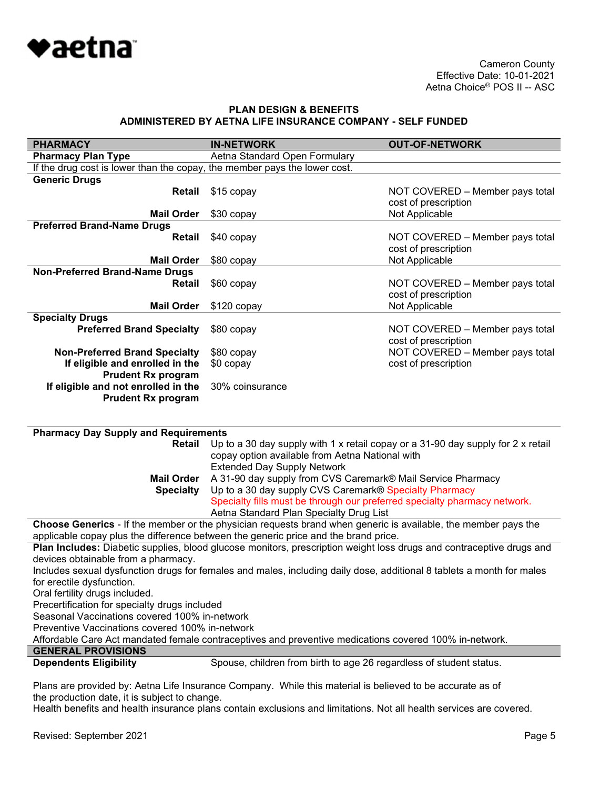

| <b>PHARMACY</b>                                                           | <b>IN-NETWORK</b>                                                                                                     | <b>OUT-OF-NETWORK</b>                                                            |
|---------------------------------------------------------------------------|-----------------------------------------------------------------------------------------------------------------------|----------------------------------------------------------------------------------|
| <b>Pharmacy Plan Type</b>                                                 | Aetna Standard Open Formulary                                                                                         |                                                                                  |
| If the drug cost is lower than the copay, the member pays the lower cost. |                                                                                                                       |                                                                                  |
| <b>Generic Drugs</b>                                                      |                                                                                                                       |                                                                                  |
| Retail                                                                    | \$15 copay                                                                                                            | NOT COVERED - Member pays total                                                  |
|                                                                           |                                                                                                                       | cost of prescription                                                             |
| <b>Mail Order</b>                                                         | \$30 copay                                                                                                            | Not Applicable                                                                   |
| <b>Preferred Brand-Name Drugs</b>                                         |                                                                                                                       |                                                                                  |
| Retail                                                                    | \$40 copay                                                                                                            | NOT COVERED - Member pays total                                                  |
|                                                                           |                                                                                                                       | cost of prescription                                                             |
| <b>Mail Order</b>                                                         | \$80 copay                                                                                                            | Not Applicable                                                                   |
| Non-Preferred Brand-Name Drugs                                            |                                                                                                                       |                                                                                  |
| <b>Retail</b>                                                             | \$60 copay                                                                                                            | NOT COVERED - Member pays total                                                  |
|                                                                           |                                                                                                                       | cost of prescription                                                             |
| <b>Mail Order</b>                                                         | $$120$ copay                                                                                                          | Not Applicable                                                                   |
| <b>Specialty Drugs</b>                                                    |                                                                                                                       |                                                                                  |
| <b>Preferred Brand Specialty</b>                                          | \$80 copay                                                                                                            | NOT COVERED - Member pays total                                                  |
|                                                                           |                                                                                                                       | cost of prescription                                                             |
|                                                                           |                                                                                                                       | NOT COVERED - Member pays total                                                  |
| <b>Non-Preferred Brand Specialty</b>                                      | \$80 copay                                                                                                            |                                                                                  |
| If eligible and enrolled in the                                           | \$0 copay                                                                                                             | cost of prescription                                                             |
| <b>Prudent Rx program</b>                                                 |                                                                                                                       |                                                                                  |
| If eligible and not enrolled in the                                       | 30% coinsurance                                                                                                       |                                                                                  |
| <b>Prudent Rx program</b>                                                 |                                                                                                                       |                                                                                  |
|                                                                           |                                                                                                                       |                                                                                  |
| <b>Pharmacy Day Supply and Requirements</b>                               |                                                                                                                       |                                                                                  |
| Retail                                                                    |                                                                                                                       | Up to a 30 day supply with 1 x retail copay or a 31-90 day supply for 2 x retail |
|                                                                           | copay option available from Aetna National with                                                                       |                                                                                  |
|                                                                           | <b>Extended Day Supply Network</b>                                                                                    |                                                                                  |
| <b>Mail Order</b>                                                         |                                                                                                                       |                                                                                  |
|                                                                           | A 31-90 day supply from CVS Caremark® Mail Service Pharmacy                                                           |                                                                                  |
| <b>Specialty</b>                                                          | Up to a 30 day supply CVS Caremark® Specialty Pharmacy                                                                |                                                                                  |
|                                                                           | Specialty fills must be through our preferred specialty pharmacy network.                                             |                                                                                  |
|                                                                           | Aetna Standard Plan Specialty Drug List                                                                               |                                                                                  |
|                                                                           | Choose Generics - If the member or the physician requests brand when generic is available, the member pays the        |                                                                                  |
|                                                                           | applicable copay plus the difference between the generic price and the brand price.                                   |                                                                                  |
|                                                                           | Plan Includes: Diabetic supplies, blood glucose monitors, prescription weight loss drugs and contraceptive drugs and  |                                                                                  |
| devices obtainable from a pharmacy.                                       |                                                                                                                       |                                                                                  |
|                                                                           | Includes sexual dysfunction drugs for females and males, including daily dose, additional 8 tablets a month for males |                                                                                  |
| for erectile dysfunction.                                                 |                                                                                                                       |                                                                                  |
| Oral fertility drugs included.                                            |                                                                                                                       |                                                                                  |
| Precertification for specialty drugs included                             |                                                                                                                       |                                                                                  |
| Seasonal Vaccinations covered 100% in-network                             |                                                                                                                       |                                                                                  |
| Preventive Vaccinations covered 100% in-network                           |                                                                                                                       |                                                                                  |
|                                                                           | Affordable Care Act mandated female contraceptives and preventive medications covered 100% in-network.                |                                                                                  |
| <b>GENERAL PROVISIONS</b>                                                 |                                                                                                                       |                                                                                  |
| <b>Dependents Eligibility</b>                                             | Spouse, children from birth to age 26 regardless of student status.                                                   |                                                                                  |
|                                                                           |                                                                                                                       |                                                                                  |

Plans are provided by: Aetna Life Insurance Company. While this material is believed to be accurate as of the production date, it is subject to change.

Health benefits and health insurance plans contain exclusions and limitations. Not all health services are covered.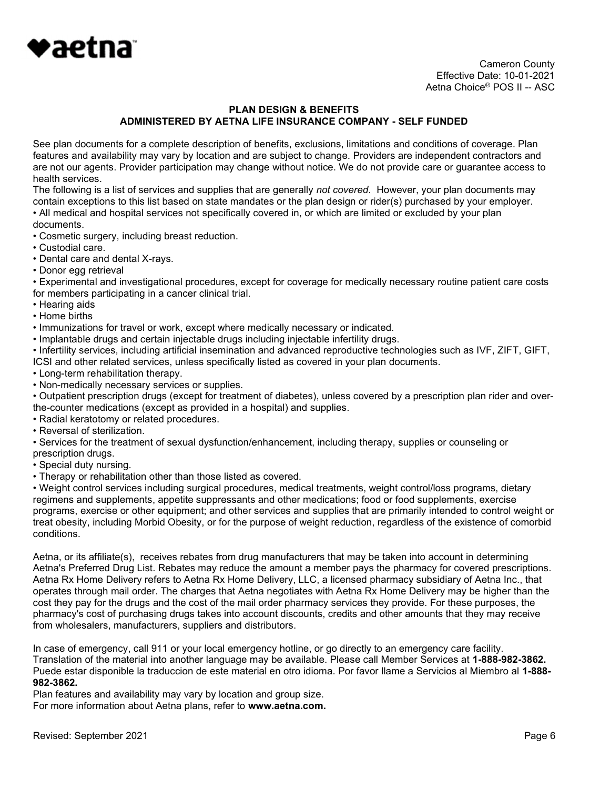

 Cameron County Effective Date: 10-01-2021 Aetna Choice® POS II -- ASC

### PLAN DESIGN & BENEFITS ADMINISTERED BY AETNA LIFE INSURANCE COMPANY - SELF FUNDED

See plan documents for a complete description of benefits, exclusions, limitations and conditions of coverage. Plan features and availability may vary by location and are subject to change. Providers are independent contractors and are not our agents. Provider participation may change without notice. We do not provide care or guarantee access to health services.

The following is a list of services and supplies that are generally not covered. However, your plan documents may contain exceptions to this list based on state mandates or the plan design or rider(s) purchased by your employer. • All medical and hospital services not specifically covered in, or which are limited or excluded by your plan

- documents.
- Cosmetic surgery, including breast reduction.
- Custodial care.
- Dental care and dental X-rays.
- Donor egg retrieval

• Experimental and investigational procedures, except for coverage for medically necessary routine patient care costs for members participating in a cancer clinical trial.

- Hearing aids
- Home births
- Immunizations for travel or work, except where medically necessary or indicated.
- Implantable drugs and certain injectable drugs including injectable infertility drugs.

• Infertility services, including artificial insemination and advanced reproductive technologies such as IVF, ZIFT, GIFT, ICSI and other related services, unless specifically listed as covered in your plan documents.

- Long-term rehabilitation therapy.
- Non-medically necessary services or supplies.

• Outpatient prescription drugs (except for treatment of diabetes), unless covered by a prescription plan rider and overthe-counter medications (except as provided in a hospital) and supplies.

- Radial keratotomy or related procedures.
- Reversal of sterilization.

• Services for the treatment of sexual dysfunction/enhancement, including therapy, supplies or counseling or prescription drugs.

- Special duty nursing.
- Therapy or rehabilitation other than those listed as covered.

• Weight control services including surgical procedures, medical treatments, weight control/loss programs, dietary regimens and supplements, appetite suppressants and other medications; food or food supplements, exercise programs, exercise or other equipment; and other services and supplies that are primarily intended to control weight or treat obesity, including Morbid Obesity, or for the purpose of weight reduction, regardless of the existence of comorbid conditions.

Aetna, or its affiliate(s), receives rebates from drug manufacturers that may be taken into account in determining Aetna's Preferred Drug List. Rebates may reduce the amount a member pays the pharmacy for covered prescriptions. Aetna Rx Home Delivery refers to Aetna Rx Home Delivery, LLC, a licensed pharmacy subsidiary of Aetna Inc., that operates through mail order. The charges that Aetna negotiates with Aetna Rx Home Delivery may be higher than the cost they pay for the drugs and the cost of the mail order pharmacy services they provide. For these purposes, the pharmacy's cost of purchasing drugs takes into account discounts, credits and other amounts that they may receive from wholesalers, manufacturers, suppliers and distributors.

In case of emergency, call 911 or your local emergency hotline, or go directly to an emergency care facility. Translation of the material into another language may be available. Please call Member Services at 1-888-982-3862. Puede estar disponible la traduccion de este material en otro idioma. Por favor llame a Servicios al Miembro al 1-888- 982-3862.

Plan features and availability may vary by location and group size.

For more information about Aetna plans, refer to www.aetna.com.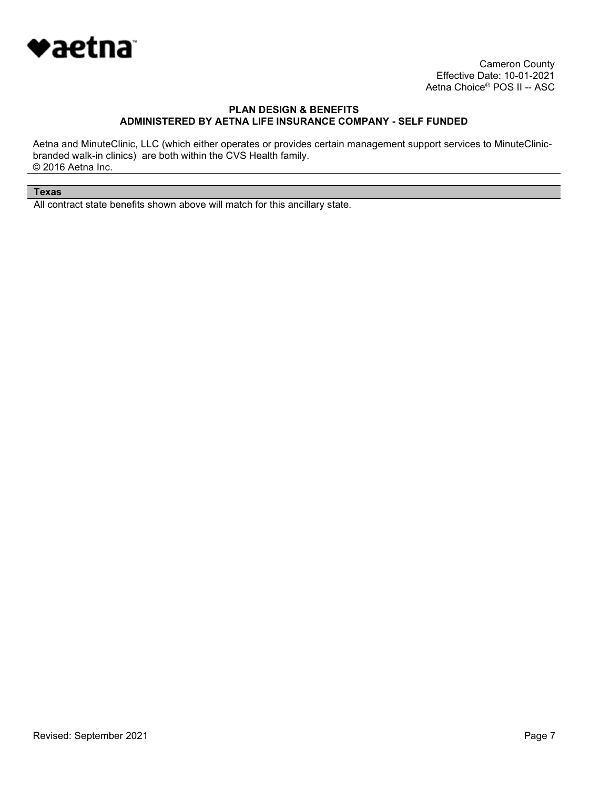

 Cameron County Effective Date: 10-01-2021 Aetna Choice® POS II -- ASC

### PLAN DESIGN & BENEFITS ADMINISTERED BY AETNA LIFE INSURANCE COMPANY - SELF FUNDED

Aetna and MinuteClinic, LLC (which either operates or provides certain management support services to MinuteClinicbranded walk-in clinics) are both within the CVS Health family. © 2016 Aetna Inc.

#### Texas

All contract state benefits shown above will match for this ancillary state.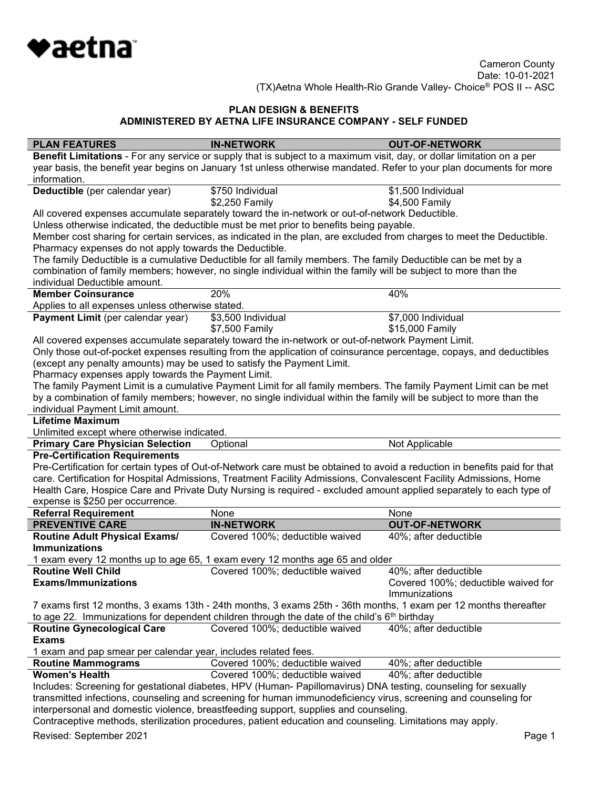

| <b>PLAN FEATURES</b>                                                   | <b>IN-NETWORK</b>                                                                                                                                                                                 | <b>OUT-OF-NETWORK</b>                                                                                                      |
|------------------------------------------------------------------------|---------------------------------------------------------------------------------------------------------------------------------------------------------------------------------------------------|----------------------------------------------------------------------------------------------------------------------------|
|                                                                        | Benefit Limitations - For any service or supply that is subject to a maximum visit, day, or dollar limitation on a per                                                                            |                                                                                                                            |
|                                                                        |                                                                                                                                                                                                   | year basis, the benefit year begins on January 1st unless otherwise mandated. Refer to your plan documents for more        |
| information.                                                           |                                                                                                                                                                                                   |                                                                                                                            |
| Deductible (per calendar year)                                         | \$750 Individual                                                                                                                                                                                  | \$1,500 Individual                                                                                                         |
|                                                                        | \$2,250 Family                                                                                                                                                                                    | \$4,500 Family                                                                                                             |
|                                                                        | All covered expenses accumulate separately toward the in-network or out-of-network Deductible.                                                                                                    |                                                                                                                            |
|                                                                        |                                                                                                                                                                                                   |                                                                                                                            |
|                                                                        | Unless otherwise indicated, the deductible must be met prior to benefits being payable.                                                                                                           |                                                                                                                            |
|                                                                        | Member cost sharing for certain services, as indicated in the plan, are excluded from charges to meet the Deductible.                                                                             |                                                                                                                            |
| Pharmacy expenses do not apply towards the Deductible.                 |                                                                                                                                                                                                   |                                                                                                                            |
|                                                                        | The family Deductible is a cumulative Deductible for all family members. The family Deductible can be met by a                                                                                    |                                                                                                                            |
|                                                                        | combination of family members; however, no single individual within the family will be subject to more than the                                                                                   |                                                                                                                            |
| individual Deductible amount.                                          |                                                                                                                                                                                                   |                                                                                                                            |
| <b>Member Coinsurance</b>                                              | 20%                                                                                                                                                                                               | 40%                                                                                                                        |
| Applies to all expenses unless otherwise stated.                       |                                                                                                                                                                                                   |                                                                                                                            |
| Payment Limit (per calendar year)                                      | \$3,500 Individual                                                                                                                                                                                | \$7,000 Individual                                                                                                         |
|                                                                        | \$7,500 Family                                                                                                                                                                                    | \$15,000 Family                                                                                                            |
|                                                                        | All covered expenses accumulate separately toward the in-network or out-of-network Payment Limit.                                                                                                 |                                                                                                                            |
|                                                                        | Only those out-of-pocket expenses resulting from the application of coinsurance percentage, copays, and deductibles                                                                               |                                                                                                                            |
|                                                                        |                                                                                                                                                                                                   |                                                                                                                            |
| (except any penalty amounts) may be used to satisfy the Payment Limit. |                                                                                                                                                                                                   |                                                                                                                            |
| Pharmacy expenses apply towards the Payment Limit.                     |                                                                                                                                                                                                   |                                                                                                                            |
|                                                                        | The family Payment Limit is a cumulative Payment Limit for all family members. The family Payment Limit can be met                                                                                |                                                                                                                            |
|                                                                        | by a combination of family members; however, no single individual within the family will be subject to more than the                                                                              |                                                                                                                            |
| individual Payment Limit amount.                                       |                                                                                                                                                                                                   |                                                                                                                            |
| <b>Lifetime Maximum</b>                                                |                                                                                                                                                                                                   |                                                                                                                            |
| Unlimited except where otherwise indicated.                            |                                                                                                                                                                                                   |                                                                                                                            |
|                                                                        |                                                                                                                                                                                                   |                                                                                                                            |
|                                                                        |                                                                                                                                                                                                   |                                                                                                                            |
| <b>Primary Care Physician Selection</b>                                | Optional                                                                                                                                                                                          | Not Applicable                                                                                                             |
| <b>Pre-Certification Requirements</b>                                  |                                                                                                                                                                                                   |                                                                                                                            |
|                                                                        |                                                                                                                                                                                                   | Pre-Certification for certain types of Out-of-Network care must be obtained to avoid a reduction in benefits paid for that |
|                                                                        | care. Certification for Hospital Admissions, Treatment Facility Admissions, Convalescent Facility Admissions, Home                                                                                |                                                                                                                            |
|                                                                        |                                                                                                                                                                                                   | Health Care, Hospice Care and Private Duty Nursing is required - excluded amount applied separately to each type of        |
| expense is \$250 per occurrence.                                       |                                                                                                                                                                                                   |                                                                                                                            |
| <b>Referral Requirement</b>                                            | None                                                                                                                                                                                              | None                                                                                                                       |
| <b>PREVENTIVE CARE</b>                                                 | <b>IN-NETWORK</b>                                                                                                                                                                                 | <b>OUT-OF-NETWORK</b>                                                                                                      |
| <b>Routine Adult Physical Exams/</b>                                   | Covered 100%; deductible waived                                                                                                                                                                   | 40%; after deductible                                                                                                      |
| <b>Immunizations</b>                                                   |                                                                                                                                                                                                   |                                                                                                                            |
|                                                                        | 1 exam every 12 months up to age 65, 1 exam every 12 months age 65 and older                                                                                                                      |                                                                                                                            |
| <b>Routine Well Child</b>                                              |                                                                                                                                                                                                   |                                                                                                                            |
|                                                                        | Covered 100%; deductible waived                                                                                                                                                                   | 40%; after deductible                                                                                                      |
| <b>Exams/Immunizations</b>                                             |                                                                                                                                                                                                   | Covered 100%; deductible waived for                                                                                        |
|                                                                        |                                                                                                                                                                                                   | Immunizations                                                                                                              |
|                                                                        | 7 exams first 12 months, 3 exams 13th - 24th months, 3 exams 25th - 36th months, 1 exam per 12 months thereafter                                                                                  |                                                                                                                            |
|                                                                        | to age 22. Immunizations for dependent children through the date of the child's $6th$ birthday                                                                                                    |                                                                                                                            |
| <b>Routine Gynecological Care</b>                                      | Covered 100%; deductible waived                                                                                                                                                                   | 40%; after deductible                                                                                                      |
| <b>Exams</b>                                                           |                                                                                                                                                                                                   |                                                                                                                            |
| 1 exam and pap smear per calendar year, includes related fees.         |                                                                                                                                                                                                   |                                                                                                                            |
| <b>Routine Mammograms</b>                                              | Covered 100%; deductible waived                                                                                                                                                                   | 40%; after deductible                                                                                                      |
| <b>Women's Health</b>                                                  | Covered 100%; deductible waived                                                                                                                                                                   | 40%; after deductible                                                                                                      |
|                                                                        |                                                                                                                                                                                                   |                                                                                                                            |
|                                                                        | Includes: Screening for gestational diabetes, HPV (Human- Papillomavirus) DNA testing, counseling for sexually                                                                                    |                                                                                                                            |
|                                                                        | transmitted infections, counseling and screening for human immunodeficiency virus, screening and counseling for                                                                                   |                                                                                                                            |
|                                                                        | interpersonal and domestic violence, breastfeeding support, supplies and counseling.<br>Contraceptive methods, sterilization procedures, patient education and counseling. Limitations may apply. |                                                                                                                            |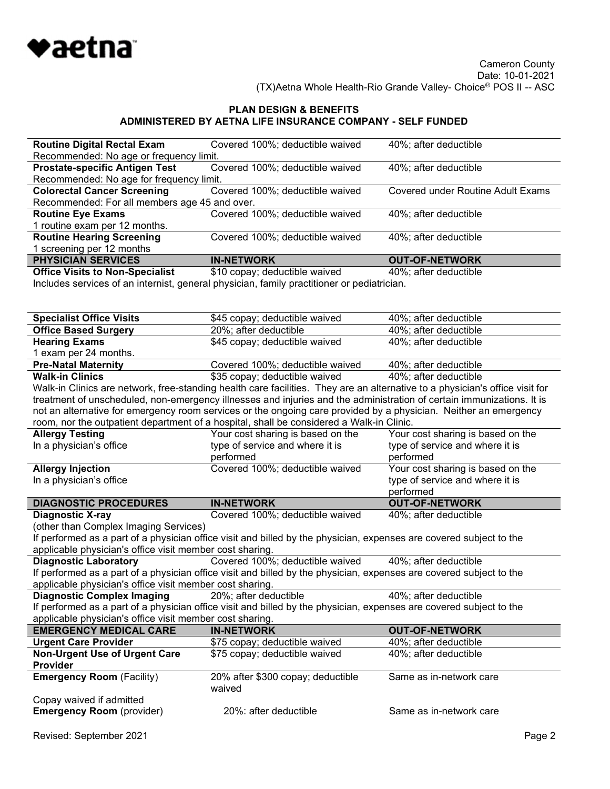

| <b>Routine Digital Rectal Exam</b>            | Covered 100%; deductible waived | 40%; after deductible             |
|-----------------------------------------------|---------------------------------|-----------------------------------|
| Recommended: No age or frequency limit.       |                                 |                                   |
| <b>Prostate-specific Antigen Test</b>         | Covered 100%; deductible waived | 40%; after deductible             |
| Recommended: No age for frequency limit.      |                                 |                                   |
| <b>Colorectal Cancer Screening</b>            | Covered 100%; deductible waived | Covered under Routine Adult Exams |
| Recommended: For all members age 45 and over. |                                 |                                   |
| <b>Routine Eye Exams</b>                      | Covered 100%; deductible waived | 40%; after deductible             |
| 1 routine exam per 12 months.                 |                                 |                                   |
| <b>Routine Hearing Screening</b>              | Covered 100%; deductible waived | 40%; after deductible             |
| 1 screening per 12 months                     |                                 |                                   |
| <b>PHYSICIAN SERVICES</b>                     | <b>IN-NETWORK</b>               | <b>OUT-OF-NETWORK</b>             |
| <b>Office Visits to Non-Specialist</b>        | \$10 copay; deductible waived   | 40%; after deductible             |

Includes services of an internist, general physician, family practitioner or pediatrician.

| <b>Specialist Office Visits</b>                              | \$45 copay; deductible waived                                                                                                | 40%; after deductible                |
|--------------------------------------------------------------|------------------------------------------------------------------------------------------------------------------------------|--------------------------------------|
| <b>Office Based Surgery</b>                                  | 20%; after deductible                                                                                                        | 40%; after deductible                |
| <b>Hearing Exams</b>                                         | \$45 copay; deductible waived                                                                                                | 40%; after deductible                |
| 1 exam per 24 months.                                        |                                                                                                                              |                                      |
| <b>Pre-Natal Maternity</b>                                   | Covered 100%; deductible waived                                                                                              | 40%; after deductible                |
| <b>Walk-in Clinics</b>                                       | \$35 copay; deductible waived                                                                                                | 40%; after deductible                |
|                                                              | Walk-in Clinics are network, free-standing health care facilities. They are an alternative to a physician's office visit for |                                      |
|                                                              | treatment of unscheduled, non-emergency illnesses and injuries and the administration of certain immunizations. It is        |                                      |
|                                                              | not an alternative for emergency room services or the ongoing care provided by a physician. Neither an emergency             |                                      |
|                                                              | room, nor the outpatient department of a hospital, shall be considered a Walk-in Clinic.                                     |                                      |
| <b>Allergy Testing</b>                                       | Your cost sharing is based on the                                                                                            | Your cost sharing is based on the    |
| In a physician's office                                      | type of service and where it is                                                                                              | type of service and where it is      |
|                                                              | performed                                                                                                                    | performed                            |
| <b>Allergy Injection</b>                                     | Covered 100%; deductible waived                                                                                              | Your cost sharing is based on the    |
| In a physician's office                                      |                                                                                                                              | type of service and where it is      |
|                                                              |                                                                                                                              | performed                            |
| <b>DIAGNOSTIC PROCEDURES</b>                                 | <b>IN-NETWORK</b>                                                                                                            | <b>OUT-OF-NETWORK</b>                |
| <b>Diagnostic X-ray</b>                                      | Covered 100%; deductible waived                                                                                              | 40%; after deductible                |
| (other than Complex Imaging Services)                        |                                                                                                                              |                                      |
|                                                              | If performed as a part of a physician office visit and billed by the physician, expenses are covered subject to the          |                                      |
| applicable physician's office visit member cost sharing.     |                                                                                                                              |                                      |
| <b>Diagnostic Laboratory</b>                                 | Covered 100%; deductible waived                                                                                              | 40%; after deductible                |
|                                                              | If performed as a part of a physician office visit and billed by the physician, expenses are covered subject to the          |                                      |
| applicable physician's office visit member cost sharing.     |                                                                                                                              |                                      |
| <b>Diagnostic Complex Imaging</b>                            | 20%; after deductible                                                                                                        | $\overline{40\%}$ ; after deductible |
|                                                              | If performed as a part of a physician office visit and billed by the physician, expenses are covered subject to the          |                                      |
| applicable physician's office visit member cost sharing.     |                                                                                                                              |                                      |
| <b>EMERGENCY MEDICAL CARE</b>                                | <b>IN-NETWORK</b>                                                                                                            | <b>OUT-OF-NETWORK</b>                |
| <b>Urgent Care Provider</b>                                  | \$75 copay; deductible waived                                                                                                | 40%; after deductible                |
| <b>Non-Urgent Use of Urgent Care</b>                         | \$75 copay; deductible waived                                                                                                | 40%; after deductible                |
| Provider                                                     |                                                                                                                              |                                      |
| <b>Emergency Room (Facility)</b>                             | 20% after \$300 copay; deductible                                                                                            | Same as in-network care              |
|                                                              | waived                                                                                                                       |                                      |
|                                                              |                                                                                                                              |                                      |
| Copay waived if admitted<br><b>Emergency Room</b> (provider) | 20%: after deductible                                                                                                        | Same as in-network care              |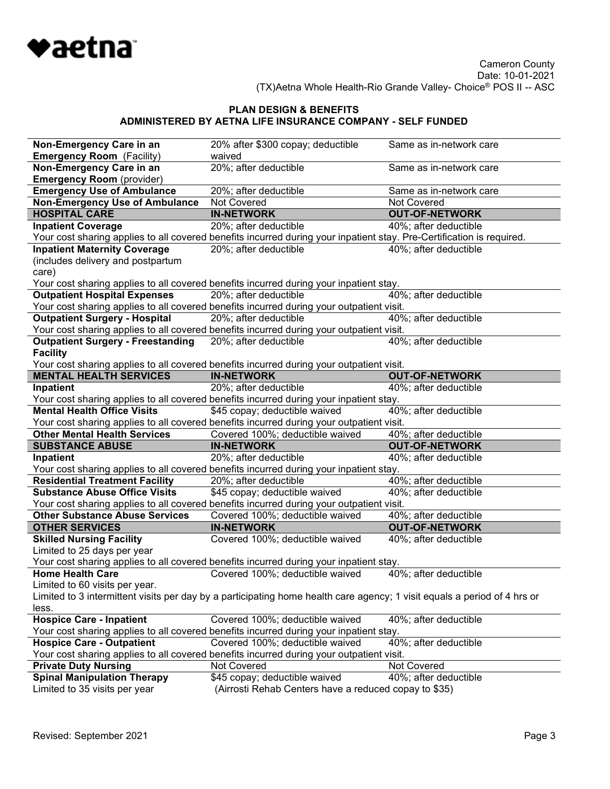

| Non-Emergency Care in an                                            | 20% after \$300 copay; deductible                                                                                        | Same as in-network care |
|---------------------------------------------------------------------|--------------------------------------------------------------------------------------------------------------------------|-------------------------|
| <b>Emergency Room</b> (Facility)                                    | waived                                                                                                                   |                         |
| Non-Emergency Care in an                                            | 20%; after deductible                                                                                                    | Same as in-network care |
| <b>Emergency Room</b> (provider)                                    |                                                                                                                          |                         |
| <b>Emergency Use of Ambulance</b>                                   | 20%; after deductible                                                                                                    | Same as in-network care |
| <b>Non-Emergency Use of Ambulance</b>                               | Not Covered                                                                                                              | Not Covered             |
| <b>HOSPITAL CARE</b>                                                | <b>IN-NETWORK</b>                                                                                                        | <b>OUT-OF-NETWORK</b>   |
| <b>Inpatient Coverage</b>                                           | 20%; after deductible                                                                                                    | 40%; after deductible   |
|                                                                     | Your cost sharing applies to all covered benefits incurred during your inpatient stay. Pre-Certification is required.    |                         |
| <b>Inpatient Maternity Coverage</b>                                 | 20%; after deductible                                                                                                    | 40%; after deductible   |
| (includes delivery and postpartum                                   |                                                                                                                          |                         |
| care)                                                               |                                                                                                                          |                         |
|                                                                     | Your cost sharing applies to all covered benefits incurred during your inpatient stay.                                   |                         |
| <b>Outpatient Hospital Expenses</b>                                 | 20%; after deductible                                                                                                    | 40%; after deductible   |
|                                                                     | Your cost sharing applies to all covered benefits incurred during your outpatient visit.                                 |                         |
| <b>Outpatient Surgery - Hospital</b>                                | 20%; after deductible                                                                                                    | 40%; after deductible   |
|                                                                     | Your cost sharing applies to all covered benefits incurred during your outpatient visit.                                 |                         |
| <b>Outpatient Surgery - Freestanding</b>                            | 20%; after deductible                                                                                                    | 40%; after deductible   |
| <b>Facility</b>                                                     |                                                                                                                          |                         |
| <b>MENTAL HEALTH SERVICES</b>                                       | Your cost sharing applies to all covered benefits incurred during your outpatient visit.<br><b>IN-NETWORK</b>            | <b>OUT-OF-NETWORK</b>   |
| Inpatient                                                           | 20%; after deductible                                                                                                    | 40%; after deductible   |
|                                                                     | Your cost sharing applies to all covered benefits incurred during your inpatient stay.                                   |                         |
| <b>Mental Health Office Visits</b>                                  | \$45 copay; deductible waived                                                                                            | 40%; after deductible   |
|                                                                     | Your cost sharing applies to all covered benefits incurred during your outpatient visit.                                 |                         |
| <b>Other Mental Health Services</b>                                 | Covered 100%; deductible waived                                                                                          | 40%; after deductible   |
| <b>SUBSTANCE ABUSE</b>                                              | <b>IN-NETWORK</b>                                                                                                        | <b>OUT-OF-NETWORK</b>   |
| Inpatient                                                           | 20%; after deductible                                                                                                    | 40%; after deductible   |
|                                                                     | Your cost sharing applies to all covered benefits incurred during your inpatient stay.                                   |                         |
| <b>Residential Treatment Facility</b>                               | 20%; after deductible                                                                                                    | 40%; after deductible   |
| <b>Substance Abuse Office Visits</b>                                | \$45 copay; deductible waived                                                                                            | 40%; after deductible   |
|                                                                     | Your cost sharing applies to all covered benefits incurred during your outpatient visit.                                 |                         |
| <b>Other Substance Abuse Services</b>                               | Covered 100%; deductible waived                                                                                          | 40%; after deductible   |
| <b>OTHER SERVICES</b>                                               | <b>IN-NETWORK</b>                                                                                                        | <b>OUT-OF-NETWORK</b>   |
| <b>Skilled Nursing Facility</b>                                     | Covered 100%; deductible waived                                                                                          | 40%; after deductible   |
| Limited to 25 days per year                                         |                                                                                                                          |                         |
|                                                                     | Your cost sharing applies to all covered benefits incurred during your inpatient stay.                                   |                         |
| <b>Home Health Care</b>                                             | Covered 100%; deductible waived                                                                                          | 40%; after deductible   |
| Limited to 60 visits per year.                                      |                                                                                                                          |                         |
|                                                                     | Limited to 3 intermittent visits per day by a participating home health care agency; 1 visit equals a period of 4 hrs or |                         |
| less.                                                               |                                                                                                                          |                         |
| <b>Hospice Care - Inpatient</b>                                     | Covered 100%; deductible waived                                                                                          | 40%; after deductible   |
|                                                                     | Your cost sharing applies to all covered benefits incurred during your inpatient stay.                                   |                         |
| <b>Hospice Care - Outpatient</b>                                    | Covered 100%; deductible waived                                                                                          | 40%; after deductible   |
|                                                                     | Your cost sharing applies to all covered benefits incurred during your outpatient visit.<br>Not Covered                  | Not Covered             |
| <b>Private Duty Nursing</b>                                         |                                                                                                                          | 40%; after deductible   |
| <b>Spinal Manipulation Therapy</b><br>Limited to 35 visits per year | \$45 copay; deductible waived<br>(Airrosti Rehab Centers have a reduced copay to \$35)                                   |                         |
|                                                                     |                                                                                                                          |                         |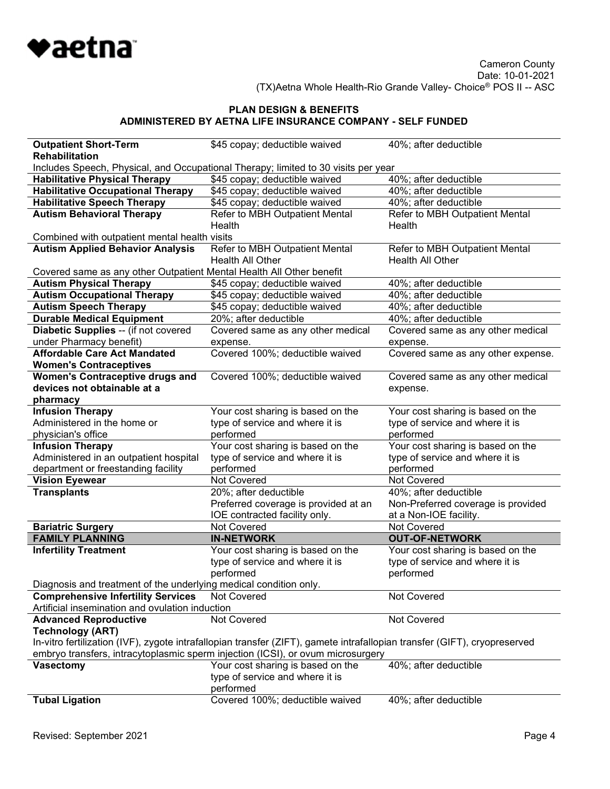

| <b>Outpatient Short-Term</b>                                         | \$45 copay; deductible waived                                                                                             | 40%; after deductible                    |
|----------------------------------------------------------------------|---------------------------------------------------------------------------------------------------------------------------|------------------------------------------|
| <b>Rehabilitation</b>                                                |                                                                                                                           |                                          |
|                                                                      | Includes Speech, Physical, and Occupational Therapy; limited to 30 visits per year                                        |                                          |
| <b>Habilitative Physical Therapy</b>                                 | \$45 copay; deductible waived                                                                                             | 40%; after deductible                    |
| <b>Habilitative Occupational Therapy</b>                             | \$45 copay; deductible waived                                                                                             | 40%; after deductible                    |
| <b>Habilitative Speech Therapy</b>                                   | \$45 copay; deductible waived                                                                                             | 40%; after deductible                    |
| <b>Autism Behavioral Therapy</b>                                     | Refer to MBH Outpatient Mental<br>Health                                                                                  | Refer to MBH Outpatient Mental<br>Health |
| Combined with outpatient mental health visits                        |                                                                                                                           |                                          |
| <b>Autism Applied Behavior Analysis</b>                              | Refer to MBH Outpatient Mental                                                                                            | Refer to MBH Outpatient Mental           |
|                                                                      | Health All Other                                                                                                          | Health All Other                         |
| Covered same as any other Outpatient Mental Health All Other benefit |                                                                                                                           |                                          |
| <b>Autism Physical Therapy</b>                                       | \$45 copay; deductible waived                                                                                             | 40%; after deductible                    |
| <b>Autism Occupational Therapy</b>                                   | \$45 copay; deductible waived                                                                                             | 40%; after deductible                    |
| <b>Autism Speech Therapy</b>                                         | \$45 copay; deductible waived                                                                                             | 40%; after deductible                    |
| <b>Durable Medical Equipment</b>                                     | 20%; after deductible                                                                                                     | 40%; after deductible                    |
| Diabetic Supplies -- (if not covered                                 | Covered same as any other medical                                                                                         | Covered same as any other medical        |
| under Pharmacy benefit)                                              | expense.                                                                                                                  | expense.                                 |
| <b>Affordable Care Act Mandated</b>                                  | Covered 100%; deductible waived                                                                                           | Covered same as any other expense.       |
| <b>Women's Contraceptives</b>                                        |                                                                                                                           |                                          |
| <b>Women's Contraceptive drugs and</b>                               | Covered 100%; deductible waived                                                                                           | Covered same as any other medical        |
| devices not obtainable at a                                          |                                                                                                                           | expense.                                 |
| pharmacy                                                             |                                                                                                                           |                                          |
| <b>Infusion Therapy</b>                                              | Your cost sharing is based on the                                                                                         | Your cost sharing is based on the        |
| Administered in the home or                                          | type of service and where it is                                                                                           | type of service and where it is          |
| physician's office                                                   | performed                                                                                                                 | performed                                |
| <b>Infusion Therapy</b>                                              | Your cost sharing is based on the                                                                                         | Your cost sharing is based on the        |
| Administered in an outpatient hospital                               | type of service and where it is                                                                                           | type of service and where it is          |
| department or freestanding facility                                  | performed                                                                                                                 | performed                                |
| <b>Vision Eyewear</b>                                                | Not Covered                                                                                                               | Not Covered                              |
| <b>Transplants</b>                                                   | 20%; after deductible                                                                                                     | 40%; after deductible                    |
|                                                                      | Preferred coverage is provided at an                                                                                      | Non-Preferred coverage is provided       |
|                                                                      | IOE contracted facility only.                                                                                             | at a Non-IOE facility.                   |
| <b>Bariatric Surgery</b>                                             | Not Covered                                                                                                               | Not Covered                              |
| <b>FAMILY PLANNING</b>                                               | <b>IN-NETWORK</b>                                                                                                         | <b>OUT-OF-NETWORK</b>                    |
| <b>Infertility Treatment</b>                                         | Your cost sharing is based on the                                                                                         | Your cost sharing is based on the        |
|                                                                      | type of service and where it is                                                                                           | type of service and where it is          |
|                                                                      | performed                                                                                                                 | performed                                |
| Diagnosis and treatment of the underlying medical condition only.    |                                                                                                                           |                                          |
| <b>Comprehensive Infertility Services</b>                            | Not Covered                                                                                                               | Not Covered                              |
| Artificial insemination and ovulation induction                      |                                                                                                                           |                                          |
| <b>Advanced Reproductive</b>                                         | Not Covered                                                                                                               | Not Covered                              |
| <b>Technology (ART)</b>                                              |                                                                                                                           |                                          |
|                                                                      | In-vitro fertilization (IVF), zygote intrafallopian transfer (ZIFT), gamete intrafallopian transfer (GIFT), cryopreserved |                                          |
|                                                                      | embryo transfers, intracytoplasmic sperm injection (ICSI), or ovum microsurgery                                           |                                          |
| <b>Vasectomy</b>                                                     | Your cost sharing is based on the                                                                                         | 40%; after deductible                    |
|                                                                      | type of service and where it is                                                                                           |                                          |
|                                                                      | performed                                                                                                                 |                                          |
| <b>Tubal Ligation</b>                                                | Covered 100%; deductible waived                                                                                           | 40%; after deductible                    |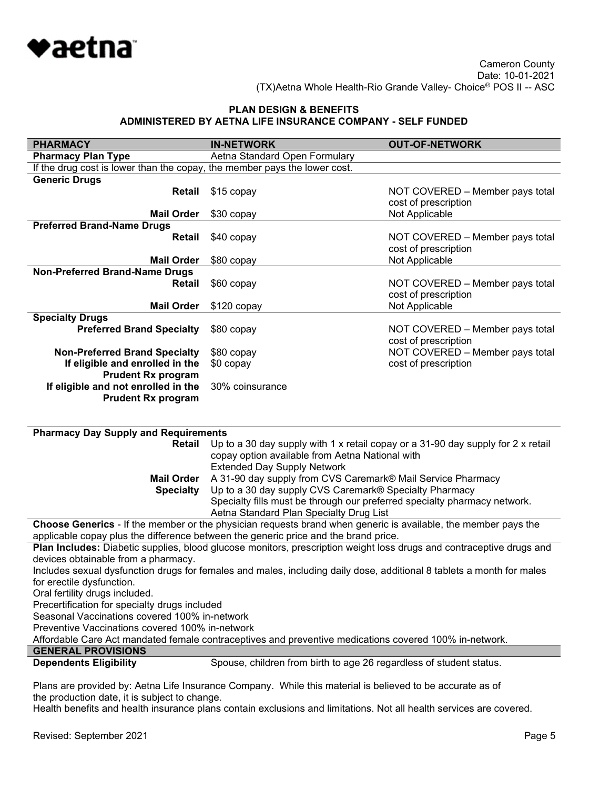

| <b>PHARMACY</b>                                                           | <b>IN-NETWORK</b>                                                                                                     | <b>OUT-OF-NETWORK</b>                                                            |
|---------------------------------------------------------------------------|-----------------------------------------------------------------------------------------------------------------------|----------------------------------------------------------------------------------|
| <b>Pharmacy Plan Type</b>                                                 | Aetna Standard Open Formulary                                                                                         |                                                                                  |
| If the drug cost is lower than the copay, the member pays the lower cost. |                                                                                                                       |                                                                                  |
| <b>Generic Drugs</b>                                                      |                                                                                                                       |                                                                                  |
| Retail                                                                    | \$15 copay                                                                                                            | NOT COVERED - Member pays total                                                  |
|                                                                           |                                                                                                                       | cost of prescription                                                             |
| <b>Mail Order</b>                                                         | \$30 copay                                                                                                            | Not Applicable                                                                   |
| <b>Preferred Brand-Name Drugs</b>                                         |                                                                                                                       |                                                                                  |
| Retail                                                                    | \$40 copay                                                                                                            | NOT COVERED - Member pays total                                                  |
|                                                                           |                                                                                                                       | cost of prescription                                                             |
| <b>Mail Order</b>                                                         | \$80 copay                                                                                                            | Not Applicable                                                                   |
| <b>Non-Preferred Brand-Name Drugs</b>                                     |                                                                                                                       |                                                                                  |
| Retail                                                                    | \$60 copay                                                                                                            | NOT COVERED - Member pays total                                                  |
|                                                                           |                                                                                                                       |                                                                                  |
|                                                                           |                                                                                                                       | cost of prescription                                                             |
| <b>Mail Order</b>                                                         | $$120$ copay                                                                                                          | Not Applicable                                                                   |
| <b>Specialty Drugs</b>                                                    |                                                                                                                       |                                                                                  |
| <b>Preferred Brand Specialty</b>                                          | \$80 copay                                                                                                            | NOT COVERED - Member pays total                                                  |
|                                                                           |                                                                                                                       | cost of prescription                                                             |
| <b>Non-Preferred Brand Specialty</b>                                      | \$80 copay                                                                                                            | NOT COVERED - Member pays total                                                  |
| If eligible and enrolled in the                                           | \$0 copay                                                                                                             | cost of prescription                                                             |
| <b>Prudent Rx program</b>                                                 |                                                                                                                       |                                                                                  |
| If eligible and not enrolled in the                                       | 30% coinsurance                                                                                                       |                                                                                  |
| <b>Prudent Rx program</b>                                                 |                                                                                                                       |                                                                                  |
|                                                                           |                                                                                                                       |                                                                                  |
|                                                                           |                                                                                                                       |                                                                                  |
| <b>Pharmacy Day Supply and Requirements</b>                               |                                                                                                                       |                                                                                  |
| Retail                                                                    |                                                                                                                       | Up to a 30 day supply with 1 x retail copay or a 31-90 day supply for 2 x retail |
|                                                                           | copay option available from Aetna National with                                                                       |                                                                                  |
|                                                                           | <b>Extended Day Supply Network</b>                                                                                    |                                                                                  |
| <b>Mail Order</b>                                                         | A 31-90 day supply from CVS Caremark® Mail Service Pharmacy                                                           |                                                                                  |
| <b>Specialty</b>                                                          | Up to a 30 day supply CVS Caremark® Specialty Pharmacy                                                                |                                                                                  |
|                                                                           | Specialty fills must be through our preferred specialty pharmacy network.                                             |                                                                                  |
|                                                                           | Aetna Standard Plan Specialty Drug List                                                                               |                                                                                  |
|                                                                           | Choose Generics - If the member or the physician requests brand when generic is available, the member pays the        |                                                                                  |
|                                                                           | applicable copay plus the difference between the generic price and the brand price.                                   |                                                                                  |
|                                                                           | Plan Includes: Diabetic supplies, blood glucose monitors, prescription weight loss drugs and contraceptive drugs and  |                                                                                  |
| devices obtainable from a pharmacy.                                       |                                                                                                                       |                                                                                  |
|                                                                           | Includes sexual dysfunction drugs for females and males, including daily dose, additional 8 tablets a month for males |                                                                                  |
| for erectile dysfunction.                                                 |                                                                                                                       |                                                                                  |
| Oral fertility drugs included.                                            |                                                                                                                       |                                                                                  |
| Precertification for specialty drugs included                             |                                                                                                                       |                                                                                  |
| Seasonal Vaccinations covered 100% in-network                             |                                                                                                                       |                                                                                  |
| Preventive Vaccinations covered 100% in-network                           |                                                                                                                       |                                                                                  |
|                                                                           | Affordable Care Act mandated female contraceptives and preventive medications covered 100% in-network.                |                                                                                  |
| <b>GENERAL PROVISIONS</b>                                                 |                                                                                                                       |                                                                                  |
|                                                                           |                                                                                                                       |                                                                                  |
| <b>Dependents Eligibility</b>                                             | Spouse, children from birth to age 26 regardless of student status.                                                   |                                                                                  |
|                                                                           |                                                                                                                       |                                                                                  |

Plans are provided by: Aetna Life Insurance Company. While this material is believed to be accurate as of the production date, it is subject to change.

Health benefits and health insurance plans contain exclusions and limitations. Not all health services are covered.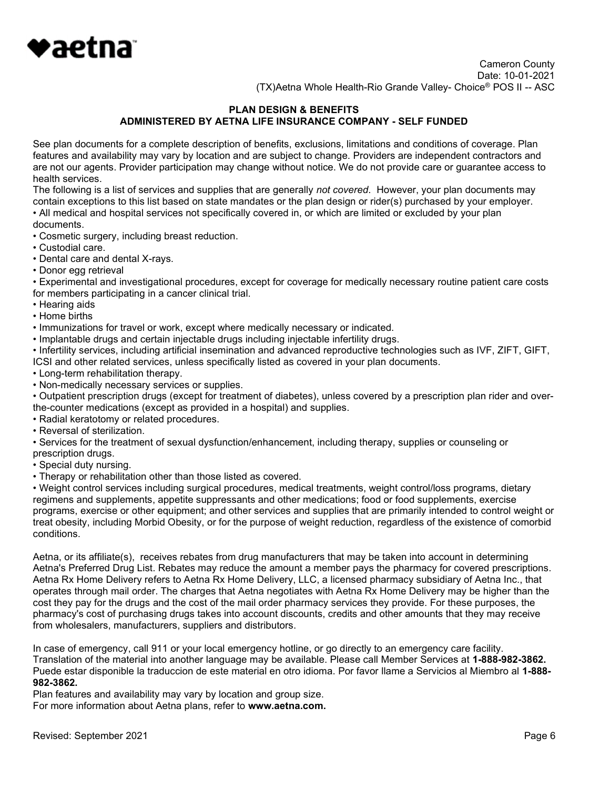

### PLAN DESIGN & BENEFITS ADMINISTERED BY AETNA LIFE INSURANCE COMPANY - SELF FUNDED

See plan documents for a complete description of benefits, exclusions, limitations and conditions of coverage. Plan features and availability may vary by location and are subject to change. Providers are independent contractors and are not our agents. Provider participation may change without notice. We do not provide care or guarantee access to health services.

The following is a list of services and supplies that are generally not covered. However, your plan documents may contain exceptions to this list based on state mandates or the plan design or rider(s) purchased by your employer. • All medical and hospital services not specifically covered in, or which are limited or excluded by your plan

- documents.
- Cosmetic surgery, including breast reduction.
- Custodial care.
- Dental care and dental X-rays.
- Donor egg retrieval

• Experimental and investigational procedures, except for coverage for medically necessary routine patient care costs for members participating in a cancer clinical trial.

- Hearing aids
- Home births
- Immunizations for travel or work, except where medically necessary or indicated.
- Implantable drugs and certain injectable drugs including injectable infertility drugs.

• Infertility services, including artificial insemination and advanced reproductive technologies such as IVF, ZIFT, GIFT, ICSI and other related services, unless specifically listed as covered in your plan documents.

- Long-term rehabilitation therapy.
- Non-medically necessary services or supplies.

• Outpatient prescription drugs (except for treatment of diabetes), unless covered by a prescription plan rider and overthe-counter medications (except as provided in a hospital) and supplies.

- Radial keratotomy or related procedures.
- Reversal of sterilization.

• Services for the treatment of sexual dysfunction/enhancement, including therapy, supplies or counseling or prescription drugs.

- Special duty nursing.
- Therapy or rehabilitation other than those listed as covered.

• Weight control services including surgical procedures, medical treatments, weight control/loss programs, dietary regimens and supplements, appetite suppressants and other medications; food or food supplements, exercise programs, exercise or other equipment; and other services and supplies that are primarily intended to control weight or treat obesity, including Morbid Obesity, or for the purpose of weight reduction, regardless of the existence of comorbid conditions.

Aetna, or its affiliate(s), receives rebates from drug manufacturers that may be taken into account in determining Aetna's Preferred Drug List. Rebates may reduce the amount a member pays the pharmacy for covered prescriptions. Aetna Rx Home Delivery refers to Aetna Rx Home Delivery, LLC, a licensed pharmacy subsidiary of Aetna Inc., that operates through mail order. The charges that Aetna negotiates with Aetna Rx Home Delivery may be higher than the cost they pay for the drugs and the cost of the mail order pharmacy services they provide. For these purposes, the pharmacy's cost of purchasing drugs takes into account discounts, credits and other amounts that they may receive from wholesalers, manufacturers, suppliers and distributors.

In case of emergency, call 911 or your local emergency hotline, or go directly to an emergency care facility. Translation of the material into another language may be available. Please call Member Services at 1-888-982-3862. Puede estar disponible la traduccion de este material en otro idioma. Por favor llame a Servicios al Miembro al 1-888- 982-3862.

Plan features and availability may vary by location and group size.

For more information about Aetna plans, refer to www.aetna.com.